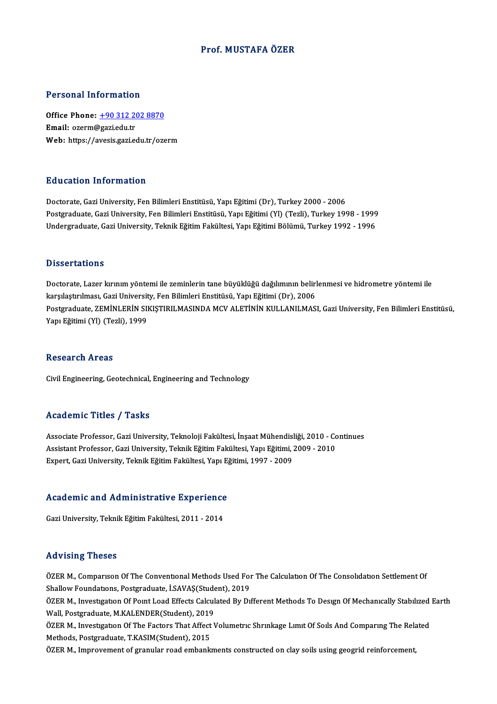## Prof.MUSTAFA ÖZER

## Personal Information

Personal Information<br>Office Phone: <u>+90 312 202 8870</u><br>Email: exerm@saxi.edu.tr office Phone: <u>+90 312 20</u><br>Email: ozerm@gazi.edu.tr<br>Web: https://avesis.gazi.edu Office Phone: <u>+90 312 202 8870</u><br>Email: ozerm@gazi.edu.tr<br>Web: https://a[vesis.gazi.edu.tr/oze](tel:+90 312 202 8870)rm Web: https://avesis.gazi.edu.tr/ozerm<br>Education Information

Doctorate, Gazi University, Fen Bilimleri Enstitüsü, Yapı Eğitimi (Dr), Turkey 2000 - 2006 Pu u sutron "Informution"<br>Doctorate, Gazi University, Fen Bilimleri Enstitüsü, Yapı Eğitimi (Dr), Turkey 2000 - 2006<br>Postgraduate, Gazi University, Fen Bilimleri Enstitüsü, Yapı Eğitimi (Yl) (Tezli), Turkey 1998 - 1999<br>Und Doctorate, Gazi University, Fen Bilimleri Enstitüsü, Yapı Eğitimi (Dr), Turkey 2000 - 2006<br>Postgraduate, Gazi University, Fen Bilimleri Enstitüsü, Yapı Eğitimi (Yl) (Tezli), Turkey 1998 - 1999<br>Undergraduate, Gazi Universit Undergraduate, Gazi University, Teknik Eğitim Fakültesi, Yapı Eğitimi Bölümü, Turkey 1992 - 1996<br>Dissertations

Doctorate, Lazer kırınım yöntemi ile zeminlerin tane büyüklüğü dağılımının belirlenmesi ve hidrometre yöntemi ile karşılaştır.<br>Doctorate, Lazer kırınım yöntemi ile zeminlerin tane büyüklüğü dağılımının belirl<br>karşılaştırılması, Gazi University, Fen Bilimleri Enstitüsü, Yapı Eğitimi (Dr), 2006<br>Postanaduata ZEMİNI EDİN SIKISTIDII MASIND Postgraduate, ZEMİNLERİN SIKIŞTIRILMASINDA MCV ALETİNİN KULLANILMASI, Gazi University, Fen Bilimleri Enstitüsü,<br>Yapı Eğitimi (Yl) (Tezli), 1999 karşılaştırılması, Gazi Universit<br>Postgraduate, ZEMİNLERİN SII<br>Yapı Eğitimi (Yl) (Tezli), 1999

### Research Areas

Civil Engineering, Geotechnical, Engineering and Technology

## Academic Titles / Tasks

Associate Professor, Gazi University, Teknoloji Fakültesi, İnşaat Mühendisliği, 2010 - Continues Associate Professor, Gazi University, Teknoloji Fakültesi, İnşaat Mühendisliği, 2010 - Co<br>Assistant Professor, Gazi University, Teknik Eğitim Fakültesi, Yapı Eğitimi, 2009 - 2010<br>Eynert, Cari University, Telmik Eğitim Fakü Associate Professor, Gazi University, Teknoloji Fakültesi, İnşaat Mühendisl<br>Assistant Professor, Gazi University, Teknik Eğitim Fakültesi, Yapı Eğitimi, .<br>Expert, Gazi University, Teknik Eğitim Fakültesi, Yapı Eğitimi, 199

# expert, Gazi University, Teknik Egitim Fakuitesi, Yapi Eg<br>Academic and Administrative Experience <mark>Academic and Administrative Experience</mark><br>Gazi University, Teknik Eğitim Fakültesi, 2011 - 2014

Gazi University, Teknik Eğitim Fakültesi, 2011 - 2014<br>Advising Theses

Advising Theses<br>ÖZER M., Comparıson Of The Conventional Methods Used For The Calculation Of The Consolidation Settlement Of<br>Shallow Foundations, Restanduate, İ.SAVAS(Student), 2019 SHAV ISING I NESES<br>ÖZER M., Comparison Of The Conventional Methods Used Foi<br>Shallow Foundations, Postgraduate, İ.SAVAŞ(Student), 2019<br>ÖZER M. Univerkation Of Boint Load Effects Coloulated By Di

Shallow Foundations, Postgraduate, İ.SAVAŞ(Student), 2019<br>ÖZER M., Investigation Of Point Load Effects Calculated By Different Methods To Design Of Mechanically Stabilized Earth Wall, Postgraduate, M.KALENDER(Student), 2019 ÖZER M., Investigation Of Point Load Effects Calculated By Different Methods To Design Of Mechanically Stabilized<br>Wall, Postgraduate, M.KALENDER(Student), 2019<br>ÖZER M., Investigation Of The Factors That Affect Volumetric S

Wall, Postgraduate, M.KALENDER(Student), 2019<br>ÖZER M., Investigation Of The Factors That Affect<br>Methods, Postgraduate, T.KASIM(Student), 2015<br>ÖZER M. Impressement of grapular reed embarla ÖZER M., Investigation Of The Factors That Affect Volumetric Shrinkage Limit Of Soils And Comparing The Rela<br>Methods, Postgraduate, T.KASIM(Student), 2015<br>ÖZER M., Improvement of granular road embankments constructed on cl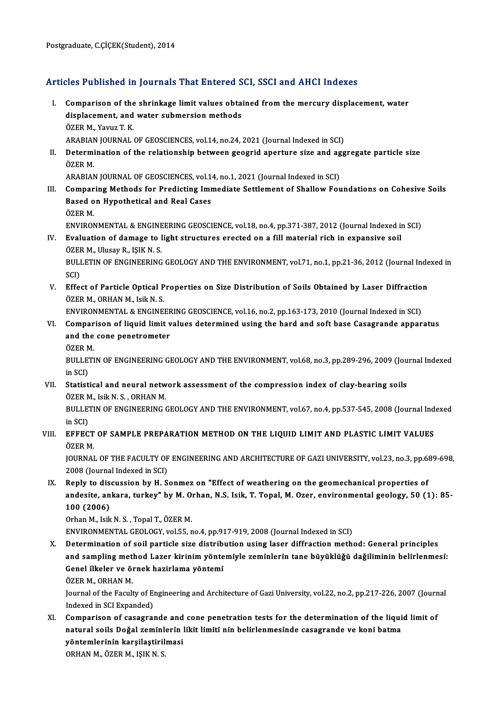## Articles Published in Journals That Entered SCI, SSCI and AHCI Indexes

rticles Published in Journals That Entered SCI, SSCI and AHCI Indexes<br>I. Comparison of the shrinkage limit values obtained from the mercury displacement, water<br>displacement, and water submercian mathods Comparison of the shrinkage limit values obtaining displacement, and water submersion methods **Comparison of the<br>displacement, and<br>ÖZER M., Yavuz T. K.<br>ARAPIAN JOUPMAL** displacement, and water submersion methods<br>ÖZER M., Yavuz T. K.<br>ARABIAN JOURNAL OF GEOSCIENCES, vol.14, no.24, 2021 (Journal Indexed in SCI)<br>Determination of the relationship between seesrid aperture size and ass

ÖZER M., Yavuz T. K.<br>ARABIAN JOURNAL OF GEOSCIENCES, vol.14, no.24, 2021 (Journal Indexed in SCI)<br>II. Determination of the relationship between geogrid aperture size and aggregate particle size<br>ÖZER M ARABIAN<br>Determi<br>ÖZER M. Determination of the relationship between geogrid aperture size and ag<br>ÖZER M.<br>ARABIAN JOURNAL OF GEOSCIENCES, vol.14, no.1, 2021 (Journal Indexed in SCI)<br>Comparing Mathods for Bradisting Immediate Settlement of Shallow Fo

- ÖZER M.<br>ARABIAN JOURNAL OF GEOSCIENCES, vol.14, no.1, 2021 (Journal Indexed in SCI)<br>III. Comparing Methods for Predicting Immediate Settlement of Shallow Foundations on Cohesive Soils<br>Pased on Hypothatical and Peal Cases ARABIAN JOURNAL OF GEOSCIENCES, vol.1<br>Comparing Methods for Predicting Imr<br>Based on Hypothetical and Real Cases<br>ÖZEP M Compar<br>Based o<br>ÖZER M.<br>ENVIRON Based on Hypothetical and Real Cases<br>ÖZER M.<br>ENVIRONMENTAL & ENGINEERING GEOSCIENCE, vol.18, no.4, pp.371-387, 2012 (Journal Indexed in SCI)
	-

ÖZER M.<br>ENVIRONMENTAL & ENGINEERING GEOSCIENCE, vol.18, no.4, pp.371-387, 2012 (Journal Indexed in<br>IV. Evaluation of damage to light structures erected on a fill material rich in expansive soil<br>ÖZER M. Hlugay R. ISIK N. S ENVIRONMENTAL & ENGINE<br>Evaluation of damage to l<br>ÖZER M., Ulusay R., IŞIK N. S.<br>PIILLETIN OF ENGINEERING ÖZER M., Ulusay R., ISIK N. S.

BULLETIN OF ENGINEERING GEOLOGY AND THE ENVIRONMENT, vol.71, no.1, pp.21-36, 2012 (Journal Indexed in SCI) BULLETIN OF ENGINEERING GEOLOGY AND THE ENVIRONMENT, vol.71, no.1, pp.21-36, 2012 (Journal Inde<br>SCI)<br>V. Effect of Particle Optical Properties on Size Distribution of Soils Obtained by Laser Diffraction<br>ÖZEP M. OPHAN M. Joi

SCI)<br><mark>Effect of Particle Optical P</mark><br>ÖZER M., ORHAN M., Isik N. S.<br>ENVIRONMENTAL & ENCINE Effect of Particle Optical Properties on Size Distribution of Soils Obtained by Laser Diffraction<br>ÖZER M., ORHAN M., Isik N. S.<br>ENVIRONMENTAL & ENGINEERING GEOSCIENCE, vol.16, no.2, pp.163-173, 2010 (Journal Indexed in SCI

- ÖZER M., ORHAN M., Isik N. S.<br>ENVIRONMENTAL & ENGINEERING GEOSCIENCE, vol.16, no.2, pp.163-173, 2010 (Journal Indexed in SCI)<br>VI. Comparison of liquid limit values determined using the hard and soft base Casagrande apparat ENVIRONMENTAL & ENGINEEF<br>Comparison of liquid limit v<br>and the cone penetrometer<br>ÖZEP M **Compar<br>and the<br>ÖZER M.**<br>PULLETI
	-

and the cone penetrometer<br>ÖZER M.<br>BULLETIN OF ENGINEERING GEOLOGY AND THE ENVIRONMENT, vol.68, no.3, pp.289-296, 2009 (Journal Indexed<br>in SCD ÖZER M<br>BULLET<br>in SCI)<br>Statisti BULLETIN OF ENGINEERING GEOLOGY AND THE ENVIRONMENT, vol.68, no.3, pp.289-296, 2009 (Jou<br>in SCI)<br>VII. Statistical and neural network assessment of the compression index of clay-bearing soils<br>ÖZER M. Joik N.S. ORHAN M.

in SCI)<br>Statistical and neural netw<br>ÖZER M., Isik N. S. , ORHAN M.<br>PULL ETIN OF ENCINEERING ( ÖZER M., Isik N. S., ORHAN M.

BULLETIN OF ENGINEERING GEOLOGY AND THE ENVIRONMENT, vol.67, no.4, pp.537-545, 2008 (Journal Indexed<br>in SCI) BULLETIN OF ENGINEERING GEOLOGY AND THE ENVIRONMENT, vol.67, no.4, pp.537-545, 2008 (Journal Ind<br>in SCI)<br>VIII. EFFECT OF SAMPLE PREPARATION METHOD ON THE LIQUID LIMIT AND PLASTIC LIMIT VALUES

## in SCI)<br><mark>EFFECT</mark><br>ÖZER M.<br>JOUPNAJ EFFECT OF SAMPLE PREPARATION METHOD ON THE LIQUID LIMIT AND PLASTIC LIMIT VALUES<br>ÖZER M.<br>JOURNAL OF THE FACULTY OF ENGINEERING AND ARCHITECTURE OF GAZI UNIVERSITY, vol.23, no.3, pp.689-698,<br>2008 (Journal Indoved in SCI)

ÖZER M.<br>JOURNAL OF THE FACULTY OF<br>2008 (Journal Indexed in SCI)<br>Boply to discussion by H. S.

IX. Reply to discussion by H. Sonmez on "Effect of weathering on the geomechanical properties of 2008 (Journal Indexed in SCI)<br>Reply to discussion by H. Sonmez on "Effect of weathering on the geomechanical properties of<br>andesite, ankara, turkey" by M. Orhan, N.S. Isik, T. Topal, M. Ozer, environmental geology, 50 (1): Reply to dis<br>andesite, an<br>100 (2006)<br>Orban M. Isik andesite, ankara, turkey" by M. O.<br>100 (2006)<br>Orhan M., Isik N. S. , Topal T., ÖZER M.<br>ENWPONMENTAL CEOLOCY volEE r 100 (2006)<br>Orhan M., Isik N. S. , Topal T., ÖZER M.<br>ENVIRONMENTAL GEOLOGY, vol.55, no.4, pp.917-919, 2008 (Journal Indexed in SCI)

Orhan M., Isik N. S. , Topal T., ÖZER M.<br>ENVIRONMENTAL GEOLOGY, vol.55, no.4, pp.917-919, 2008 (Journal Indexed in SCI)<br>X. Determination of soil particle size distribution using laser diffraction method: General principles ENVIRONMENTAL GEOLOGY, vol.55, no.4, pp.917-919, 2008 (Journal Indexed in SCI)<br>Determination of soil particle size distribution using laser diffraction method: General principles<br>and sampling method Lazer kirinim yöntemiyl Determination of soil particle size distribi<br>and sampling method Lazer kirinim yönte<br>Genel ilkeler ve örnek hazirlama yöntemi<br>ÖZEP M. OPHAN M and sampling method Lazer kirinim yöntemiyle zeminlerin tane büyüklüğü dağiliminin belirlenmesi:<br>Genel ilkeler ve örnek hazirlama yöntemi<br>ÖZER M., ORHAN M.

Genel ilkeler ve örnek hazirlama yöntemi<br>ÖZER M., ORHAN M.<br>Journal of the Faculty of Engineering and Architecture of Gazi University, vol.22, no.2, pp.217-226, 2007 (Journal<br>Indeved in SCL Eunended) ÖZER M., ORHAN M.<br>Journal of the Faculty of El<br>Indexed in SCI Expanded)<br>Comnonison of sessere XI. Comparison of casagrande and cone penetration tests for the determination of the liquid limit of

Indexed in SCI Expanded)<br>Comparison of casagrande and cone penetration tests for the determination of the liqui<br>natural soils Doğal zeminlerin likit limiti nin belirlenmesinde casagrande ve koni batma<br>vöntemlerinin kansile Comparison of casagrande and<br>natural soils Doğal zeminlerin l<br>yöntemlerinin karşilaştirilmasi<br>OPHAN M. ÖZEP M. ISIZ N.S. natural soils Doğal zeminl<br>yöntemlerinin karşilaştiril<br>ORHAN M., ÖZER M., IŞIK N. S.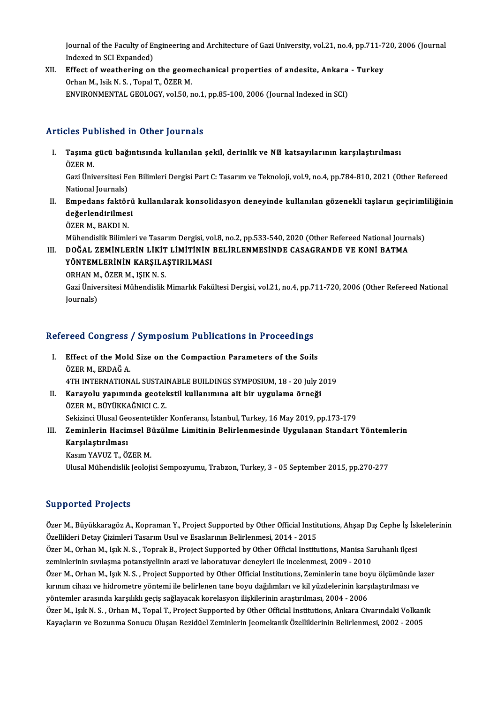Journal of the Faculty of Engineering and Architecture of Gazi University, vol.21, no.4, pp.711-720, 2006 (Journal<br>Indexed in SCL Eunonded) Journal of the Faculty of En<br>Indexed in SCI Expanded)<br>Effect of weathering on Journal of the Faculty of Engineering and Architecture of Gazi University, vol.21, no.4, pp.711-7<br>Indexed in SCI Expanded)<br>XII. Effect of weathering on the geomechanical properties of andesite, Ankara - Turkey<br>Orban M. Jai

Indexed in SCI Expanded)<br>Effect of weathering on the geom<br>Orhan M., Isik N. S. , Topal T., ÖZER M.<br>ENWPONMENTAL CEOLOCY xral50. Orhan M., Isik N. S. , Topal T., ÖZER M.<br>ENVIRONMENTAL GEOLOGY, vol.50, no.1, pp.85-100, 2006 (Journal Indexed in SCI)

## Articles Published in Other Journals

- rticles Published in Other Journals<br>I. Taşıma gücü bağıntısında kullanılan şekil, derinlik ve NØ katsayılarının karşılaştırılması<br>ÖZEP M SICB 1 u.<br>Taşıma<br>ÖZER M. Taşıma gücü bağıntısında kullanılan şekil, derinlik ve NØ katsayılarının karşılaştırılması<br>ÖZER M.<br>Gazi Üniversitesi Fen Bilimleri Dergisi Part C: Tasarım ve Teknoloji, vol.9, no.4, pp.784-810, 2021 (Other Refereed<br>Nationa ÖZER M.<br>Gazi Üniversitesi Fe<br>National Journals)<br>Emnodans faktär Gazi Üniversitesi Fen Bilimleri Dergisi Part C: Tasarım ve Teknoloji, vol.9, no.4, pp.784-810, 2021 (Other Refereed<br>National Journals)<br>II. Empedans faktörü kullanılarak konsolidasyon deneyinde kullanılan gözenekli taşların
- National Journals)<br><mark>Empedans faktörü</mark><br>değerlendirilmesi<br>Ö<sup>7ED M. BAKDI N</sup> <mark>Empedans faktör</mark><br>değerlendirilmes<br>ÖZER M., BAKDI N.<br>Mühandialir Bilimle değerlendirilmesi<br>ÖZER M., BAKDI N.<br>Mühendislik Bilimleri ve Tasarım Dergisi, vol.8, no.2, pp.533-540, 2020 (Other Refereed National Journals)<br>DOČAL ZEMİNLERİN LİKİT LİMİTİNİN RELİRI ENMESİNDE CASACRANDE VE KONİ RATMA

ÖZER M., BAKDI N.<br>Mühendislik Bilimleri ve Tasarım Dergisi, vol.8, no.2, pp.533-540, 2020 (Other Refereed National Journ<br>III. DOĞAL ZEMİNLERİN LİKİT LİMİTİNİN BELİRLENMESİNDE CASAGRANDE VE KONİ BATMA<br>VÖNTEMI ERİNİN KAR Mühendislik Bilimleri ve Tasarım Dergisi, vo<br>DOĞAL ZEMİNLERİN LİKİT LİMİTİNİN<br>YÖNTEMLERİNİN KARŞILAŞTIRILMASI<br>OPHAN M. ÖZER M. ISIK N. S III. DOĞAL ZEMİNLERIN LIKIT LIMITININ BELIRLENMESINDE CASAGRANDE VE KONI BATMA<br>YÖNTEMLERININ KARSILASTIRILMASI

ORHAN M., ÖZER M., IŞIK N. S.

Gazi Üniversitesi Mühendislik Mimarlık Fakültesi Dergisi, vol.21, no.4, pp.711-720, 2006 (Other Refereed National<br>Journals)

# <sub>Journais)</sub><br>Refereed Congress / Symposium Publications in Proceedings

- efereed Congress / Symposium Publications in Proceedings<br>I. Effect of the Mold Size on the Compaction Parameters of the Soils<br>ÖZER M. ERDAČ A I. Effect of the Mold Size on the Compaction Parameters of the Soils<br>ÖZER M., ERDAĞ A. Effect of the Mold Size on the Compaction Parameters of the Soils<br>ÖZER M., ERDAĞ A.<br>4TH INTERNATIONAL SUSTAINABLE BUILDINGS SYMPOSIUM, 18 - 20 July 2019<br>Karayolu vanımında sestekstil kullanımına eit bir uysulama örneği
- II. Karayolu yapımında geotekstil kullanımına ait bir uygulama örneği<br>ÖZER M., BÜYÜKKAĞNICI C. Z. 4TH INTERNATIONAL SUSTAI<br>Karayolu yapımında geotel<br>ÖZER M., BÜYÜKKAĞNICI C. Z.<br>Sekirinsi Ulusal Cessentetikler Sekizinci Ulusal Geosentetikler Konferansı, İstanbul, Turkey, 16 May 2019, pp.173-179
- ÖZER M., BÜYÜKKAĞNICI C. Z.<br>Sekizinci Ulusal Geosentetikler Konferansı, İstanbul, Turkey, 16 May 2019, pp.173-179<br>III. Zeminlerin Hacimsel Büzülme Limitinin Belirlenmesinde Uygulanan Standart Yöntemlerin<br>Karalastınılması Sekizinci Ulusal Gee<br>Zeminlerin Hacin<br>Karşılaştırılması<br><sup>Voqum VAVUZ T. Ö</sup> Zeminlerin Hacimsel B<br>Karşılaştırılması<br>Kasım YAVUZ T., ÖZER M.<br>Ulucel Mühendislik Leeleji Karşılaştırılması<br>Kasım YAVUZ T., ÖZER M.<br>Ulusal Mühendislik Jeolojisi Sempozyumu, Trabzon, Turkey, 3 - 05 September 2015, pp.270-277

## Supported Projects

Supported Projects<br>Özer M., Büyükkaragöz A., Kopraman Y., Project Supported by Other Official Institutions, Ahşap Dış Cephe İş İskelelerinin<br>Özellikleri Detay Cirimleri Tesarım Haul ve Essalarının Belirlenmesi, 2014, 2015 Özer M., Büyükkaragöz A., Kopraman Y., Project Supported by Other Official Instit<br>Özellikleri Detay Çizimleri Tasarım Usul ve Esaslarının Belirlenmesi, 2014 - 2015<br>Özer M. Orban M. Juli N. S., Tonrak B. Project Supported b Özer M., Büyükkaragöz A., Kopraman Y., Project Supported by Other Official Institutions, Ahşap Dış Cephe İş İsk<br>Özellikleri Detay Çizimleri Tasarım Usul ve Esaslarının Belirlenmesi, 2014 - 2015<br>Özer M., Orhan M., Işık N. S Özellikleri Detay Çizimleri Tasarım Usul ve Esaslarının Belirlenmesi, 2014 - 2015<br>Özer M., Orhan M., Işık N. S. , Toprak B., Project Supported by Other Official Institutions, Manisa Sa<br>zeminlerinin sıvılaşma potansiyelinin Özer M., Orhan M., Işık N. S. , Toprak B., Project Supported by Other Official Institutions, Manisa Saruhanlı ilçesi<br>zeminlerinin sıvılaşma potansiyelinin arazi ve laboratuvar deneyleri ile incelenmesi, 2009 - 2010<br>Özer M. zeminlerinin sıvılaşma potansiyelinin arazi ve laboratuvar deneyleri ile incelenmesi, 2009 - 2010<br>Özer M., Orhan M., Işık N. S. , Project Supported by Other Official Institutions, Zeminlerin tane boyu ölçümünde k<br>kırınım c Özer M., Orhan M., Işık N. S. , Project Supported by Other Official Institutions, Zeminlerin tane boyu ölçümünde lazer<br>kırınım cihazı ve hidrometre yöntemi ile belirlenen tane boyu dağılımları ve kil yüzdelerinin karşılaşt kırınım cihazı ve hidrometre yöntemi ile belirlenen tane boyu dağılımları ve kil yüzdelerinin karşılaştırılması ve<br>yöntemler arasında karşılıklı geçiş sağlayacak korelasyon ilişkilerinin araştırılması, 2004 - 2006<br>Özer M., yöntemler arasında karşılıklı geçiş sağlayacak korelasyon ilişkilerinin araştırılması, 2004 - 2006<br>Özer M., Işık N. S. , Orhan M., Topal T., Project Supported by Other Official Institutions, Ankara Civarındaki Volkar<br>Kayaç